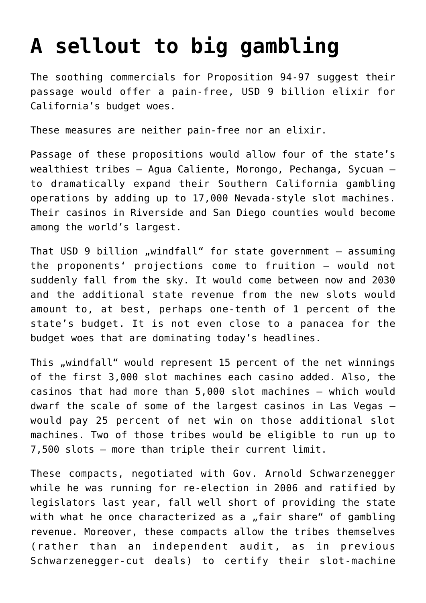## **[A sellout to big gambling](https://www.isa-guide.de/english-news/articles/19301.html)**

The soothing commercials for Proposition 94-97 suggest their passage would offer a pain-free, USD 9 billion elixir for California's budget woes.

These measures are neither pain-free nor an elixir.

Passage of these propositions would allow four of the state's wealthiest tribes – Agua Caliente, Morongo, Pechanga, Sycuan – to dramatically expand their Southern California gambling operations by adding up to 17,000 Nevada-style slot machines. Their casinos in Riverside and San Diego counties would become among the world's largest.

That USD 9 billion "windfall" for state government  $-$  assuming the proponents' projections come to fruition – would not suddenly fall from the sky. It would come between now and 2030 and the additional state revenue from the new slots would amount to, at best, perhaps one-tenth of 1 percent of the state's budget. It is not even close to a panacea for the budget woes that are dominating today's headlines.

This "windfall" would represent 15 percent of the net winnings of the first 3,000 slot machines each casino added. Also, the casinos that had more than 5,000 slot machines – which would dwarf the scale of some of the largest casinos in Las Vegas – would pay 25 percent of net win on those additional slot machines. Two of those tribes would be eligible to run up to 7,500 slots – more than triple their current limit.

These compacts, negotiated with Gov. Arnold Schwarzenegger while he was running for re-election in 2006 and ratified by legislators last year, fall well short of providing the state with what he once characterized as a "fair share" of gambling revenue. Moreover, these compacts allow the tribes themselves (rather than an independent audit, as in previous Schwarzenegger-cut deals) to certify their slot-machine